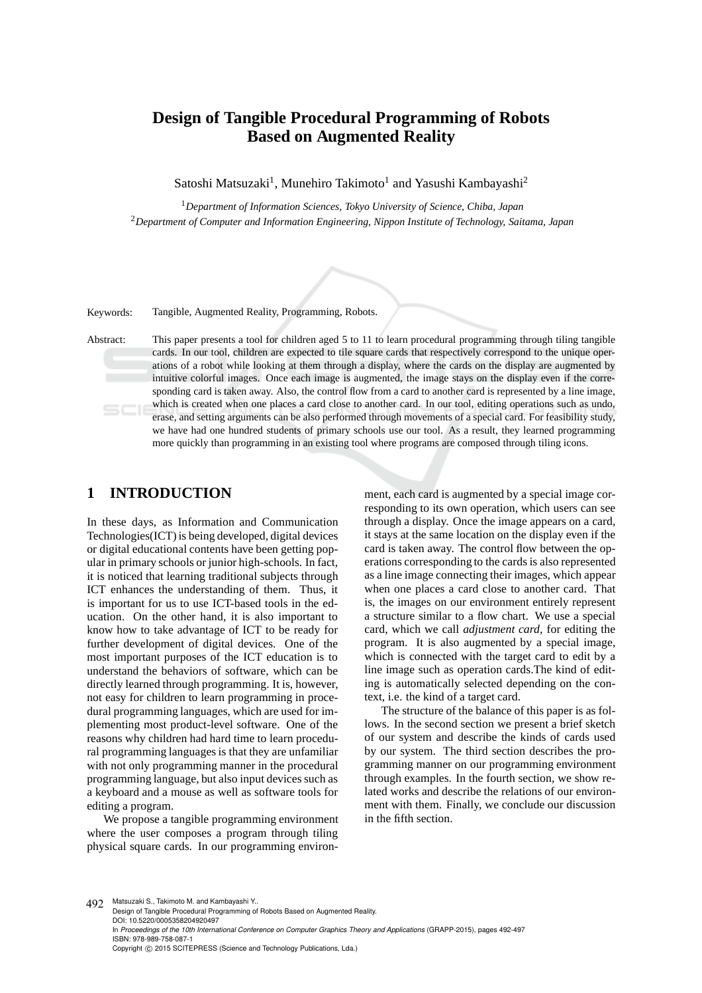# **Design of Tangible Procedural Programming of Robots Based on Augmented Reality**

Satoshi Matsuzaki<sup>1</sup>, Munehiro Takimoto<sup>1</sup> and Yasushi Kambayashi<sup>2</sup>

<sup>1</sup>*Department of Information Sciences, Tokyo University of Science, Chiba, Japan* <sup>2</sup>*Department of Computer and Information Engineering, Nippon Institute of Technology, Saitama, Japan*

Keywords: Tangible, Augmented Reality, Programming, Robots.

Abstract: This paper presents a tool for children aged 5 to 11 to learn procedural programming through tiling tangible cards. In our tool, children are expected to tile square cards that respectively correspond to the unique operations of a robot while looking at them through a display, where the cards on the display are augmented by intuitive colorful images. Once each image is augmented, the image stays on the display even if the corresponding card is taken away. Also, the control flow from a card to another card is represented by a line image, which is created when one places a card close to another card. In our tool, editing operations such as undo, erase, and setting arguments can be also performed through movements of a special card. For feasibility study, we have had one hundred students of primary schools use our tool. As a result, they learned programming more quickly than programming in an existing tool where programs are composed through tiling icons.

## **1 INTRODUCTION**

In these days, as Information and Communication Technologies(ICT) is being developed, digital devices or digital educational contents have been getting popular in primary schools or junior high-schools. In fact, it is noticed that learning traditional subjects through ICT enhances the understanding of them. Thus, it is important for us to use ICT-based tools in the education. On the other hand, it is also important to know how to take advantage of ICT to be ready for further development of digital devices. One of the most important purposes of the ICT education is to understand the behaviors of software, which can be directly learned through programming. It is, however, not easy for children to learn programming in procedural programming languages, which are used for implementing most product-level software. One of the reasons why children had hard time to learn procedural programming languages is that they are unfamiliar with not only programming manner in the procedural programming language, but also input devices such as a keyboard and a mouse as well as software tools for editing a program.

We propose a tangible programming environment where the user composes a program through tiling physical square cards. In our programming environ-

ment, each card is augmented by a special image corresponding to its own operation, which users can see through a display. Once the image appears on a card, it stays at the same location on the display even if the card is taken away. The control flow between the operations corresponding to the cards is also represented as a line image connecting their images, which appear when one places a card close to another card. That is, the images on our environment entirely represent a structure similar to a flow chart. We use a special card, which we call *adjustment card*, for editing the program. It is also augmented by a special image, which is connected with the target card to edit by a line image such as operation cards.The kind of editing is automatically selected depending on the context, i.e. the kind of a target card.

The structure of the balance of this paper is as follows. In the second section we present a brief sketch of our system and describe the kinds of cards used by our system. The third section describes the programming manner on our programming environment through examples. In the fourth section, we show related works and describe the relations of our environment with them. Finally, we conclude our discussion in the fifth section.

492 Matsuzaki S., Takimoto M. and Kambayashi Y..

Design of Tangible Procedural Programming of Robots Based on Augmented Reality. DOI: 10.5220/0005358204920497 In *Proceedings of the 10th International Conference on Computer Graphics Theory and Applications* (GRAPP-2015), pages 492-497 ISBN: 978-989-758-087-1 Copyright © 2015 SCITEPRESS (Science and Technology Publications, Lda.)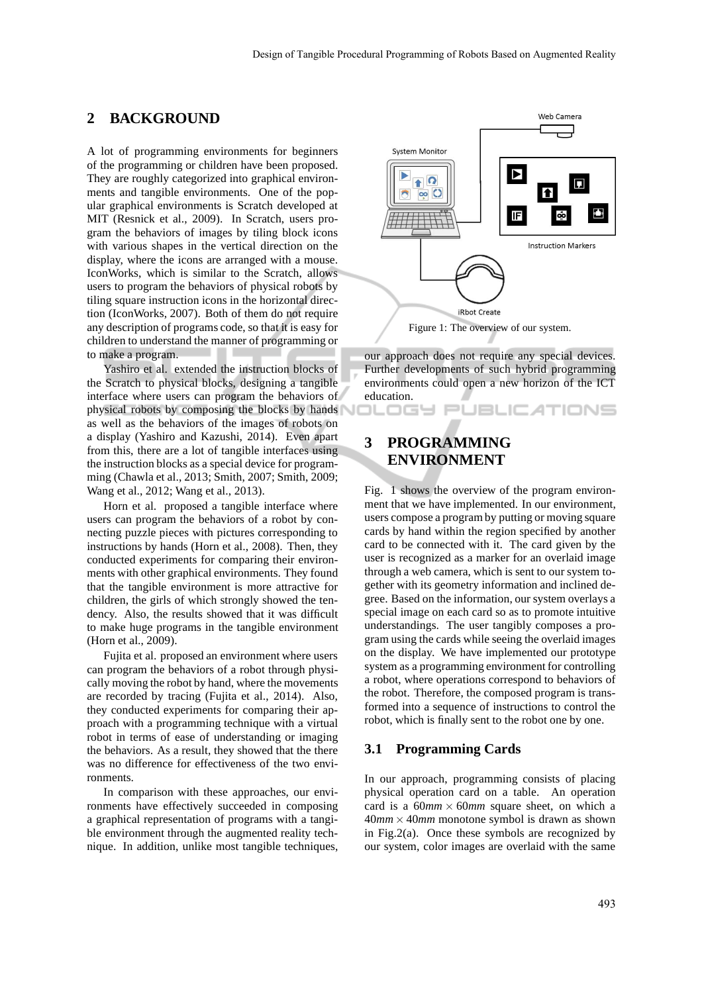### **2 BACKGROUND**

A lot of programming environments for beginners of the programming or children have been proposed. They are roughly categorized into graphical environments and tangible environments. One of the popular graphical environments is Scratch developed at MIT (Resnick et al., 2009). In Scratch, users program the behaviors of images by tiling block icons with various shapes in the vertical direction on the display, where the icons are arranged with a mouse. IconWorks, which is similar to the Scratch, allows users to program the behaviors of physical robots by tiling square instruction icons in the horizontal direction (IconWorks, 2007). Both of them do not require any description of programs code, so that it is easy for children to understand the manner of programming or to make a program.

Yashiro et al. extended the instruction blocks of the Scratch to physical blocks, designing a tangible interface where users can program the behaviors of physical robots by composing the blocks by hands as well as the behaviors of the images of robots on a display (Yashiro and Kazushi, 2014). Even apart from this, there are a lot of tangible interfaces using the instruction blocks as a special device for programming (Chawla et al., 2013; Smith, 2007; Smith, 2009; Wang et al., 2012; Wang et al., 2013).

Horn et al. proposed a tangible interface where users can program the behaviors of a robot by connecting puzzle pieces with pictures corresponding to instructions by hands (Horn et al., 2008). Then, they conducted experiments for comparing their environments with other graphical environments. They found that the tangible environment is more attractive for children, the girls of which strongly showed the tendency. Also, the results showed that it was difficult to make huge programs in the tangible environment (Horn et al., 2009).

Fujita et al. proposed an environment where users can program the behaviors of a robot through physically moving the robot by hand, where the movements are recorded by tracing (Fujita et al., 2014). Also, they conducted experiments for comparing their approach with a programming technique with a virtual robot in terms of ease of understanding or imaging the behaviors. As a result, they showed that the there was no difference for effectiveness of the two environments.

In comparison with these approaches, our environments have effectively succeeded in composing a graphical representation of programs with a tangible environment through the augmented reality technique. In addition, unlike most tangible techniques,



our approach does not require any special devices. Further developments of such hybrid programming environments could open a new horizon of the ICT education.

**PUBLICATIONS** 

## **3 PROGRAMMING ENVIRONMENT**

コレロGY

Fig. 1 shows the overview of the program environment that we have implemented. In our environment, users compose a program by putting or moving square cards by hand within the region specified by another card to be connected with it. The card given by the user is recognized as a marker for an overlaid image through a web camera, which is sent to our system together with its geometry information and inclined degree. Based on the information, our system overlays a special image on each card so as to promote intuitive understandings. The user tangibly composes a program using the cards while seeing the overlaid images on the display. We have implemented our prototype system as a programming environment for controlling a robot, where operations correspond to behaviors of the robot. Therefore, the composed program is transformed into a sequence of instructions to control the robot, which is finally sent to the robot one by one.

#### **3.1 Programming Cards**

In our approach, programming consists of placing physical operation card on a table. An operation card is a  $60mm \times 60mm$  square sheet, on which a  $40mm \times 40mm$  monotone symbol is drawn as shown in Fig.2(a). Once these symbols are recognized by our system, color images are overlaid with the same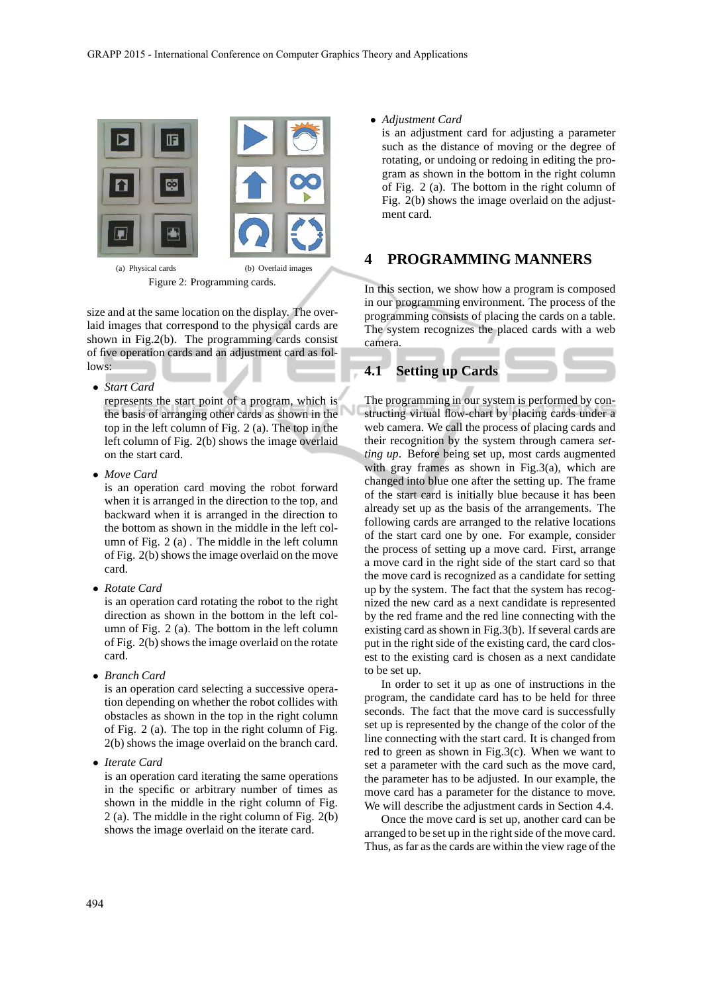

Figure 2: Programming cards.

size and at the same location on the display. The overlaid images that correspond to the physical cards are shown in Fig.2(b). The programming cards consist of five operation cards and an adjustment card as follows:

• *Start Card*

represents the start point of a program, which is the basis of arranging other cards as shown in the top in the left column of Fig. 2 (a). The top in the left column of Fig. 2(b) shows the image overlaid on the start card.

• *Move Card*

is an operation card moving the robot forward when it is arranged in the direction to the top, and backward when it is arranged in the direction to the bottom as shown in the middle in the left column of Fig. 2 (a) . The middle in the left column of Fig. 2(b) shows the image overlaid on the move card.

• *Rotate Card*

is an operation card rotating the robot to the right direction as shown in the bottom in the left column of Fig. 2 (a). The bottom in the left column of Fig. 2(b) shows the image overlaid on the rotate card.

• *Branch Card*

is an operation card selecting a successive operation depending on whether the robot collides with obstacles as shown in the top in the right column of Fig. 2 (a). The top in the right column of Fig. 2(b) shows the image overlaid on the branch card.

• *Iterate Card*

is an operation card iterating the same operations in the specific or arbitrary number of times as shown in the middle in the right column of Fig. 2 (a). The middle in the right column of Fig. 2(b) shows the image overlaid on the iterate card.

• *Adjustment Card*

is an adjustment card for adjusting a parameter such as the distance of moving or the degree of rotating, or undoing or redoing in editing the program as shown in the bottom in the right column of Fig. 2 (a). The bottom in the right column of Fig. 2(b) shows the image overlaid on the adjustment card.

### **4 PROGRAMMING MANNERS**

In this section, we show how a program is composed in our programming environment. The process of the programming consists of placing the cards on a table. The system recognizes the placed cards with a web camera.

#### **4.1 Setting up Cards**

The programming in our system is performed by constructing virtual flow-chart by placing cards under a web camera. We call the process of placing cards and their recognition by the system through camera *setting up*. Before being set up, most cards augmented with gray frames as shown in Fig.3(a), which are changed into blue one after the setting up. The frame of the start card is initially blue because it has been already set up as the basis of the arrangements. The following cards are arranged to the relative locations of the start card one by one. For example, consider the process of setting up a move card. First, arrange a move card in the right side of the start card so that the move card is recognized as a candidate for setting up by the system. The fact that the system has recognized the new card as a next candidate is represented by the red frame and the red line connecting with the existing card as shown in Fig.3(b). If several cards are put in the right side of the existing card, the card closest to the existing card is chosen as a next candidate to be set up.

In order to set it up as one of instructions in the program, the candidate card has to be held for three seconds. The fact that the move card is successfully set up is represented by the change of the color of the line connecting with the start card. It is changed from red to green as shown in Fig.3(c). When we want to set a parameter with the card such as the move card, the parameter has to be adjusted. In our example, the move card has a parameter for the distance to move. We will describe the adjustment cards in Section 4.4.

Once the move card is set up, another card can be arranged to be set up in the right side of the move card. Thus, as far as the cards are within the view rage of the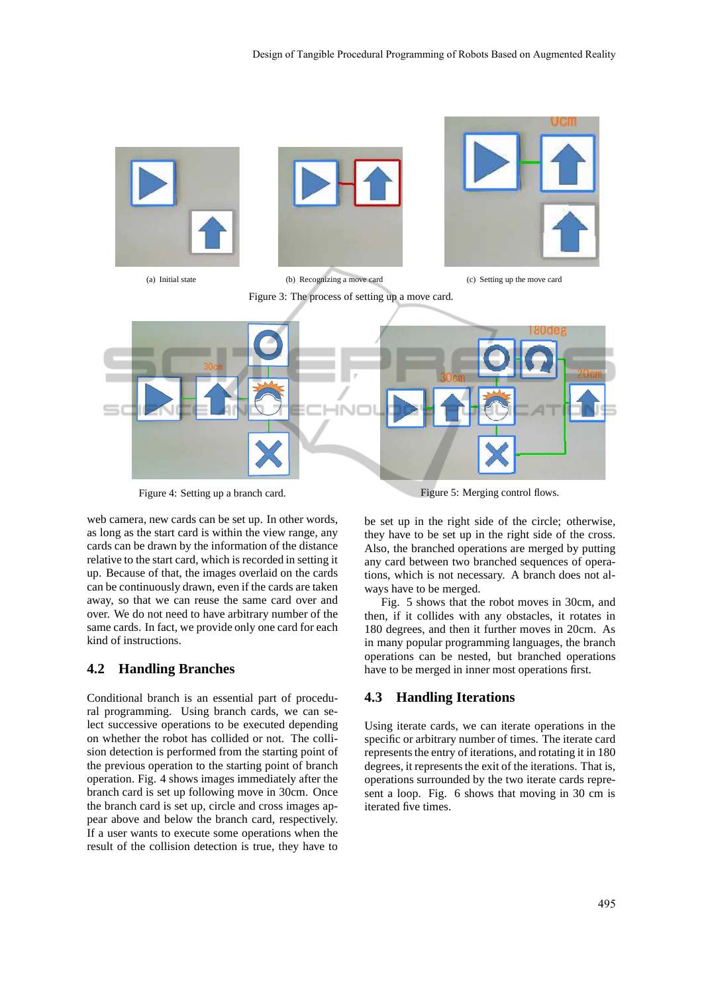

Figure 4: Setting up a branch card.

Figure 5: Merging control flows.

web camera, new cards can be set up. In other words, as long as the start card is within the view range, any cards can be drawn by the information of the distance relative to the start card, which is recorded in setting it up. Because of that, the images overlaid on the cards can be continuously drawn, even if the cards are taken away, so that we can reuse the same card over and over. We do not need to have arbitrary number of the same cards. In fact, we provide only one card for each kind of instructions.

#### **4.2 Handling Branches**

Conditional branch is an essential part of procedural programming. Using branch cards, we can select successive operations to be executed depending on whether the robot has collided or not. The collision detection is performed from the starting point of the previous operation to the starting point of branch operation. Fig. 4 shows images immediately after the branch card is set up following move in 30cm. Once the branch card is set up, circle and cross images appear above and below the branch card, respectively. If a user wants to execute some operations when the result of the collision detection is true, they have to be set up in the right side of the circle; otherwise, they have to be set up in the right side of the cross. Also, the branched operations are merged by putting any card between two branched sequences of operations, which is not necessary. A branch does not always have to be merged.

Fig. 5 shows that the robot moves in 30cm, and then, if it collides with any obstacles, it rotates in 180 degrees, and then it further moves in 20cm. As in many popular programming languages, the branch operations can be nested, but branched operations have to be merged in inner most operations first.

### **4.3 Handling Iterations**

Using iterate cards, we can iterate operations in the specific or arbitrary number of times. The iterate card represents the entry of iterations, and rotating it in 180 degrees, it represents the exit of the iterations. That is, operations surrounded by the two iterate cards represent a loop. Fig. 6 shows that moving in 30 cm is iterated five times.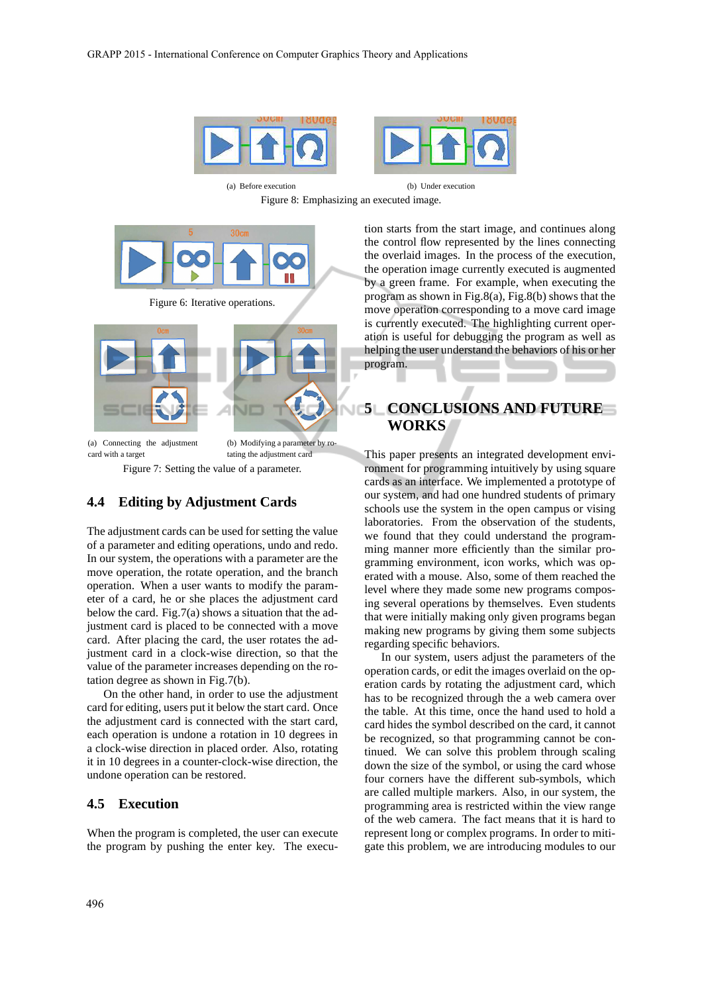

Figure 8: Emphasizing an executed image.



Figure 6: Iterative operations.



Figure 7: Setting the value of a parameter.

#### **4.4 Editing by Adjustment Cards**

The adjustment cards can be used for setting the value of a parameter and editing operations, undo and redo. In our system, the operations with a parameter are the move operation, the rotate operation, and the branch operation. When a user wants to modify the parameter of a card, he or she places the adjustment card below the card. Fig.7(a) shows a situation that the adjustment card is placed to be connected with a move card. After placing the card, the user rotates the adjustment card in a clock-wise direction, so that the value of the parameter increases depending on the rotation degree as shown in Fig.7(b).

On the other hand, in order to use the adjustment card for editing, users put it below the start card. Once the adjustment card is connected with the start card, each operation is undone a rotation in 10 degrees in a clock-wise direction in placed order. Also, rotating it in 10 degrees in a counter-clock-wise direction, the undone operation can be restored.

#### **4.5 Execution**

When the program is completed, the user can execute the program by pushing the enter key. The execu-

tion starts from the start image, and continues along the control flow represented by the lines connecting the overlaid images. In the process of the execution, the operation image currently executed is augmented by a green frame. For example, when executing the program as shown in Fig.8(a), Fig.8(b) shows that the move operation corresponding to a move card image is currently executed. The highlighting current operation is useful for debugging the program as well as helping the user understand the behaviors of his or her program.

## **5 CONCLUSIONS AND FUTURE WORKS**

This paper presents an integrated development environment for programming intuitively by using square cards as an interface. We implemented a prototype of our system, and had one hundred students of primary schools use the system in the open campus or vising laboratories. From the observation of the students, we found that they could understand the programming manner more efficiently than the similar programming environment, icon works, which was operated with a mouse. Also, some of them reached the level where they made some new programs composing several operations by themselves. Even students that were initially making only given programs began making new programs by giving them some subjects regarding specific behaviors.

In our system, users adjust the parameters of the operation cards, or edit the images overlaid on the operation cards by rotating the adjustment card, which has to be recognized through the a web camera over the table. At this time, once the hand used to hold a card hides the symbol described on the card, it cannot be recognized, so that programming cannot be continued. We can solve this problem through scaling down the size of the symbol, or using the card whose four corners have the different sub-symbols, which are called multiple markers. Also, in our system, the programming area is restricted within the view range of the web camera. The fact means that it is hard to represent long or complex programs. In order to mitigate this problem, we are introducing modules to our